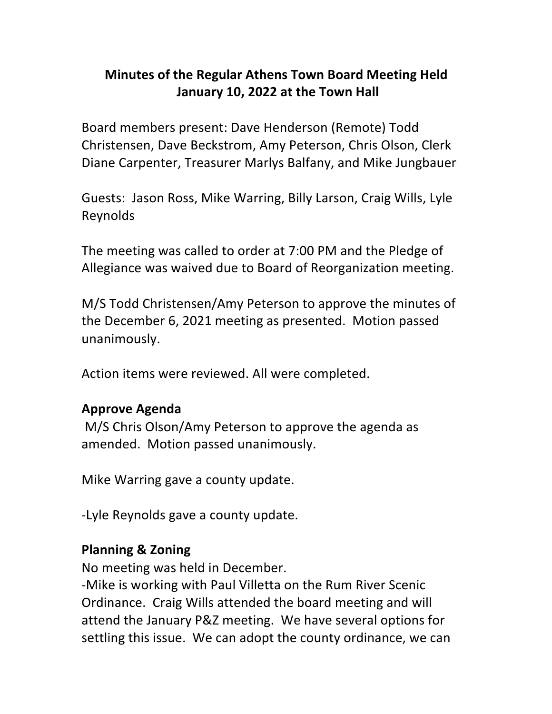# **Minutes of the Regular Athens Town Board Meeting Held January 10, 2022 at the Town Hall**

Board members present: Dave Henderson (Remote) Todd Christensen, Dave Beckstrom, Amy Peterson, Chris Olson, Clerk Diane Carpenter, Treasurer Marlys Balfany, and Mike Jungbauer

Guests: Jason Ross, Mike Warring, Billy Larson, Craig Wills, Lyle Reynolds

The meeting was called to order at 7:00 PM and the Pledge of Allegiance was waived due to Board of Reorganization meeting.

M/S Todd Christensen/Amy Peterson to approve the minutes of the December 6, 2021 meeting as presented. Motion passed unanimously.

Action items were reviewed. All were completed.

#### **Approve(Agenda**

M/S Chris Olson/Amy Peterson to approve the agenda as amended. Motion passed unanimously.

Mike Warring gave a county update.

-Lyle Reynolds gave a county update.

#### **Planning & Zoning**

No meeting was held in December.

-Mike is working with Paul Villetta on the Rum River Scenic Ordinance. Craig Wills attended the board meeting and will attend the January P&Z meeting. We have several options for settling this issue. We can adopt the county ordinance, we can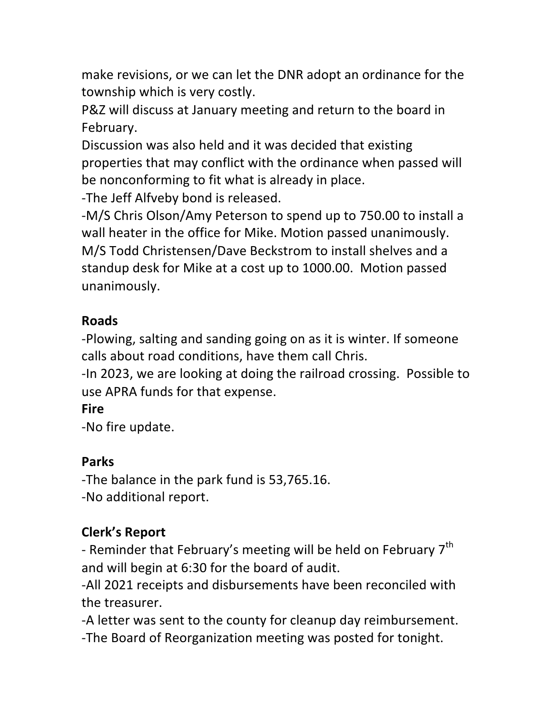make revisions, or we can let the DNR adopt an ordinance for the township which is very costly.

P&Z will discuss at January meeting and return to the board in February.

Discussion was also held and it was decided that existing properties that may conflict with the ordinance when passed will be nonconforming to fit what is already in place.

-The Jeff Alfveby bond is released.

-M/S Chris Olson/Amy Peterson to spend up to 750.00 to install a wall heater in the office for Mike. Motion passed unanimously. M/S Todd Christensen/Dave Beckstrom to install shelves and a standup desk for Mike at a cost up to 1000.00. Motion passed unanimously.

### **Roads**

-Plowing, salting and sanding going on as it is winter. If someone calls about road conditions, have them call Chris.

-In 2023, we are looking at doing the railroad crossing. Possible to use APRA funds for that expense.

### **Fire**

-No fire update.

### **Parks**

-The balance in the park fund is 53,765.16. -No additional report.

# **Clerk's Report**

- Reminder that February's meeting will be held on February 7<sup>th</sup> and will begin at 6:30 for the board of audit.

-All 2021 receipts and disbursements have been reconciled with the treasurer.

-A letter was sent to the county for cleanup day reimbursement. -The Board of Reorganization meeting was posted for tonight.